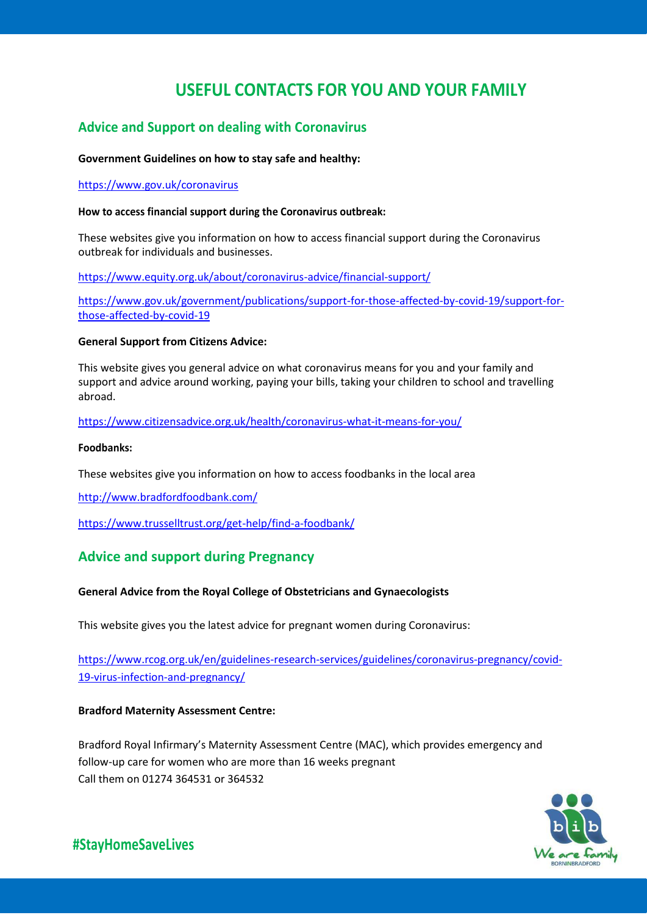# **USEFUL CONTACTS FOR YOU AND YOUR FAMILY**

# **Advice and Support on dealing with Coronavirus**

# **Government Guidelines on how to stay safe and healthy:**

# <https://www.gov.uk/coronavirus>

# **How to access financial support during the Coronavirus outbreak:**

These websites give you information on how to access financial support during the Coronavirus outbreak for individuals and businesses.

<https://www.equity.org.uk/about/coronavirus-advice/financial-support/>

[https://www.gov.uk/government/publications/support-for-those-affected-by-covid-19/support-for](https://www.gov.uk/government/publications/support-for-those-affected-by-covid-19/support-for-those-affected-by-covid-19)[those-affected-by-covid-19](https://www.gov.uk/government/publications/support-for-those-affected-by-covid-19/support-for-those-affected-by-covid-19)

# **General Support from Citizens Advice:**

This website gives you general advice on what coronavirus means for you and your family and support and advice around working, paying your bills, taking your children to school and travelling abroad.

<https://www.citizensadvice.org.uk/health/coronavirus-what-it-means-for-you/>

# **Foodbanks:**

These websites give you information on how to access foodbanks in the local area

<http://www.bradfordfoodbank.com/>

<https://www.trusselltrust.org/get-help/find-a-foodbank/>

# **Advice and support during Pregnancy**

# **General Advice from the Royal College of Obstetricians and Gynaecologists**

This website gives you the latest advice for pregnant women during Coronavirus:

[https://www.rcog.org.uk/en/guidelines-research-services/guidelines/coronavirus-pregnancy/covid-](https://www.rcog.org.uk/en/guidelines-research-services/guidelines/coronavirus-pregnancy/covid-19-virus-infection-and-pregnancy/)[19-virus-infection-and-pregnancy/](https://www.rcog.org.uk/en/guidelines-research-services/guidelines/coronavirus-pregnancy/covid-19-virus-infection-and-pregnancy/)

# **Bradford Maternity Assessment Centre:**

Bradford Royal Infirmary's Maternity Assessment Centre (MAC), which provides emergency and follow-up care for women who are more than 16 weeks pregnant Call them on 01274 364531 or 364532



**#StayHomeSaveLives**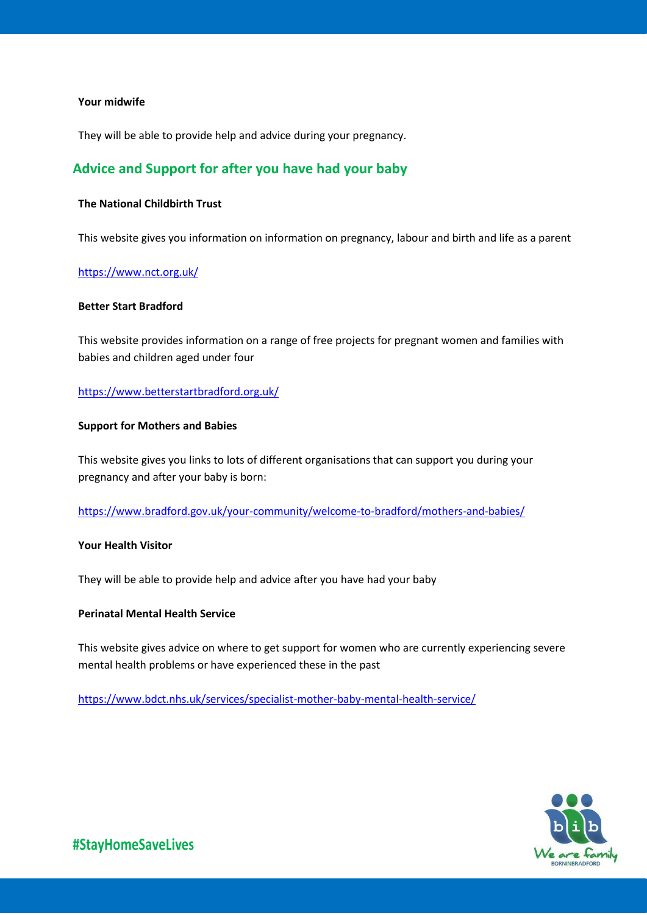#### **Your midwife**

They will be able to provide help and advice during your pregnancy.

# **Advice and Support for after you have had your baby**

# **The National Childbirth Trust**

This website gives you information on information on pregnancy, labour and birth and life as a parent

#### <https://www.nct.org.uk/>

# **Better Start Bradford**

This website provides information on a range of free projects for pregnant women and families with babies and children aged under four

#### <https://www.betterstartbradford.org.uk/>

#### **Support for Mothers and Babies**

This website gives you links to lots of different organisations that can support you during your pregnancy and after your baby is born:

<https://www.bradford.gov.uk/your-community/welcome-to-bradford/mothers-and-babies/>

### **Your Health Visitor**

They will be able to provide help and advice after you have had your baby

### **Perinatal Mental Health Service**

This website gives advice on where to get support for women who are currently experiencing severe mental health problems or have experienced these in the past

<https://www.bdct.nhs.uk/services/specialist-mother-baby-mental-health-service/>

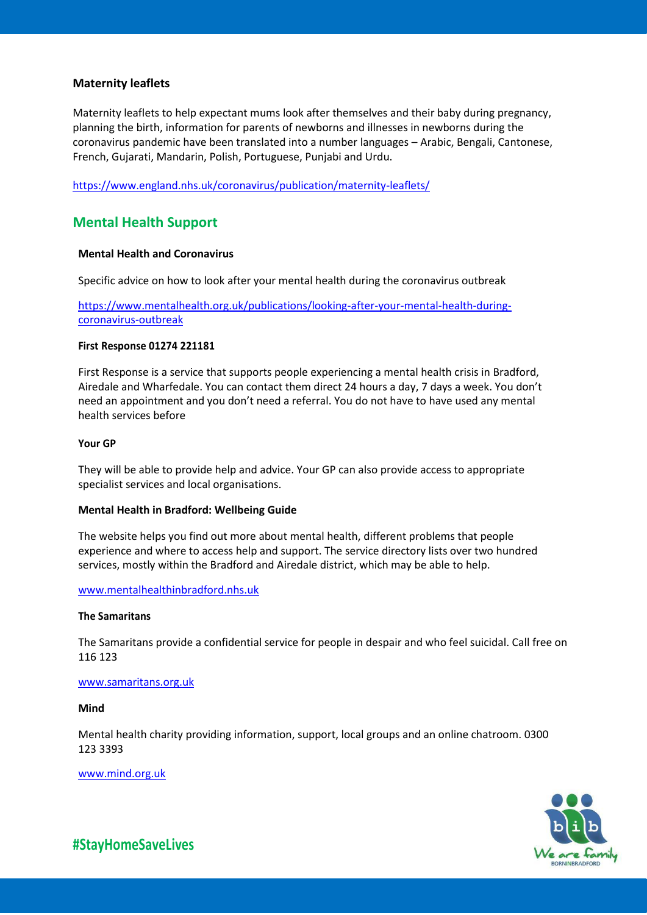# **Maternity leaflets**

Maternity leaflets to help expectant mums look after themselves and their baby during pregnancy, planning the birth, information for parents of newborns and illnesses in newborns during the coronavirus pandemic have been translated into a number languages – Arabic, Bengali, Cantonese, French, Gujarati, Mandarin, Polish, Portuguese, Punjabi and Urdu.

<https://www.england.nhs.uk/coronavirus/publication/maternity-leaflets/>

# **Mental Health Support**

#### **Mental Health and Coronavirus**

Specific advice on how to look after your mental health during the coronavirus outbreak

[https://www.mentalhealth.org.uk/publications/looking-after-your-mental-health-during](https://www.mentalhealth.org.uk/publications/looking-after-your-mental-health-during-coronavirus-outbreak)[coronavirus-outbreak](https://www.mentalhealth.org.uk/publications/looking-after-your-mental-health-during-coronavirus-outbreak)

#### **First Response 01274 221181**

First Response is a service that supports people experiencing a mental health crisis in Bradford, Airedale and Wharfedale. You can contact them direct 24 hours a day, 7 days a week. You don't need an appointment and you don't need a referral. You do not have to have used any mental health services before

#### **Your GP**

They will be able to provide help and advice. Your GP can also provide access to appropriate specialist services and local organisations.

#### **Mental Health in Bradford: Wellbeing Guide**

The website helps you find out more about mental health, different problems that people experience and where to access help and support. The service directory lists over two hundred services, mostly within the Bradford and Airedale district, which may be able to help.

### [www.mentalhealthinbradford.nhs.uk](http://www.mentalhealthinbradford.nhs.uk/)

#### **The Samaritans**

The Samaritans provide a confidential service for people in despair and who feel suicidal. Call free on 116 123

#### [www.samaritans.org.uk](http://www.samaritans.org.uk/)

**Mind**

Mental health charity providing information, support, local groups and an online chatroom. 0300 123 3393

[www.mind.org.uk](http://www.mind.org.uk/)



**#StayHomeSaveLives**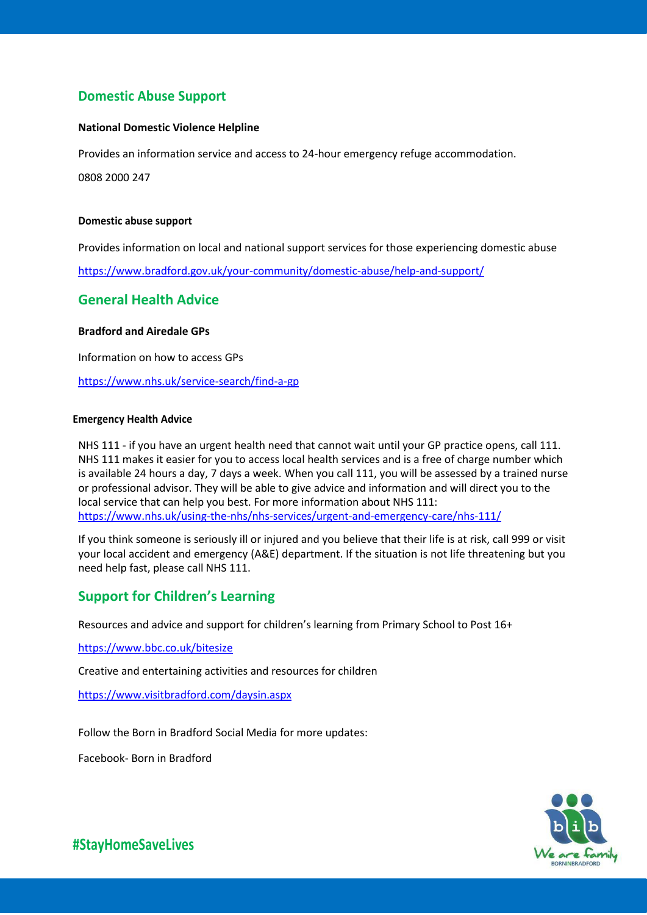# **Domestic Abuse Support**

# **National Domestic Violence Helpline**

Provides an information service and access to 24-hour emergency refuge accommodation.

0808 2000 247

#### **Domestic abuse support**

Provides information on local and national support services for those experiencing domestic abuse

<https://www.bradford.gov.uk/your-community/domestic-abuse/help-and-support/>

# **General Health Advice**

## **Bradford and Airedale GPs**

Information on how to access GPs

https://www.nhs.uk/service-search/find-a-gp

#### **Emergency Health Advice**

NHS 111 - if you have an urgent health need that cannot wait until your GP practice opens, call 111. NHS 111 makes it easier for you to access local health services and is a free of charge number which is available 24 hours a day, 7 days a week. When you call 111, you will be assessed by a trained nurse or professional advisor. They will be able to give advice and information and will direct you to the local service that can help you best. For more information about NHS 111: <https://www.nhs.uk/using-the-nhs/nhs-services/urgent-and-emergency-care/nhs-111/>

If you think someone is seriously ill or injured and you believe that their life is at risk, call 999 or visit your local accident and emergency (A&E) department. If the situation is not life threatening but you need help fast, please call NHS 111.

# **Support for Children's Learning**

Resources and advice and support for children's learning from Primary School to Post 16+

<https://www.bbc.co.uk/bitesize>

Creative and entertaining activities and resources for children

<https://www.visitbradford.com/daysin.aspx>

Follow the Born in Bradford Social Media for more updates:

Facebook- Born in Bradford



**#StayHomeSaveLives**